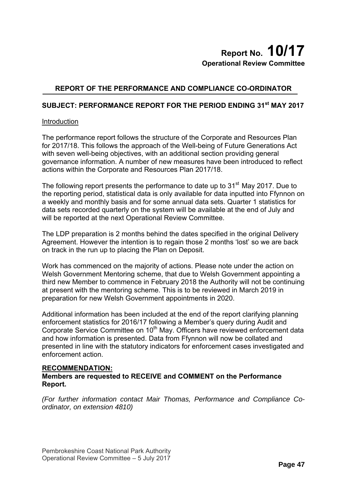### **REPORT OF THE PERFORMANCE AND COMPLIANCE CO-ORDINATOR**

### SUBJECT: PERFORMANCE REPORT FOR THE PERIOD ENDING 31<sup>st</sup> MAY 2017

#### Introduction

The performance report follows the structure of the Corporate and Resources Plan for 2017/18. This follows the approach of the Well-being of Future Generations Act with seven well-being objectives, with an additional section providing general governance information. A number of new measures have been introduced to reflect actions within the Corporate and Resources Plan 2017/18.

The following report presents the performance to date up to 31<sup>st</sup> May 2017. Due to the reporting period, statistical data is only available for data inputted into Ffynnon on a weekly and monthly basis and for some annual data sets. Quarter 1 statistics for data sets recorded quarterly on the system will be available at the end of July and will be reported at the next Operational Review Committee.

The LDP preparation is 2 months behind the dates specified in the original Delivery Agreement. However the intention is to regain those 2 months 'lost' so we are back on track in the run up to placing the Plan on Deposit.

Work has commenced on the majority of actions. Please note under the action on Welsh Government Mentoring scheme, that due to Welsh Government appointing a third new Member to commence in February 2018 the Authority will not be continuing at present with the mentoring scheme. This is to be reviewed in March 2019 in preparation for new Welsh Government appointments in 2020.

Additional information has been included at the end of the report clarifying planning enforcement statistics for 2016/17 following a Member's query during Audit and Corporate Service Committee on 10<sup>th</sup> May. Officers have reviewed enforcement data and how information is presented. Data from Ffynnon will now be collated and presented in line with the statutory indicators for enforcement cases investigated and enforcement action.

#### **RECOMMENDATION:**

#### **Members are requested to RECEIVE and COMMENT on the Performance Report.**

*(For further information contact Mair Thomas, Performance and Compliance Coordinator, on extension 4810)*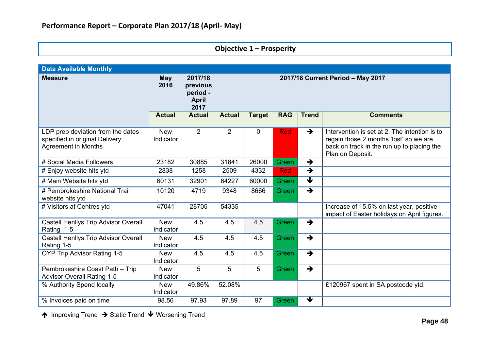### **Objective 1 – Prosperity**

| <b>Data Available Monthly</b>                                                                     |                         |                                                         |                |                                   |            |                         |                                                                                                                                                           |  |  |
|---------------------------------------------------------------------------------------------------|-------------------------|---------------------------------------------------------|----------------|-----------------------------------|------------|-------------------------|-----------------------------------------------------------------------------------------------------------------------------------------------------------|--|--|
| <b>Measure</b>                                                                                    | <b>May</b><br>2016      | 2017/18<br>previous<br>period -<br><b>April</b><br>2017 |                | 2017/18 Current Period - May 2017 |            |                         |                                                                                                                                                           |  |  |
|                                                                                                   | <b>Actual</b>           | <b>Actual</b>                                           | <b>Actual</b>  | <b>Target</b>                     | <b>RAG</b> | <b>Trend</b>            | <b>Comments</b>                                                                                                                                           |  |  |
| LDP prep deviation from the dates<br>specified in original Delivery<br><b>Agreement in Months</b> | <b>New</b><br>Indicator | $\overline{2}$                                          | $\overline{2}$ | $\overline{0}$                    | <b>Red</b> | $\rightarrow$           | Intervention is set at 2. The intention is to<br>regain those 2 months 'lost' so we are<br>back on track in the run up to placing the<br>Plan on Deposit. |  |  |
| # Social Media Followers                                                                          | 23182                   | 30885                                                   | 31841          | 26000                             | Green      | $\rightarrow$           |                                                                                                                                                           |  |  |
| # Enjoy website hits ytd                                                                          | 2838                    | 1258                                                    | 2509           | 4332                              | <b>Red</b> | $\rightarrow$           |                                                                                                                                                           |  |  |
| # Main Website hits ytd                                                                           | 60131                   | 32901                                                   | 64227          | 60000                             | Green      | $\overline{\textbf{v}}$ |                                                                                                                                                           |  |  |
| # Pembrokeshire National Trail<br>website hits ytd                                                | 10120                   | 4719                                                    | 9348           | 8666                              | Green      | $\rightarrow$           |                                                                                                                                                           |  |  |
| # Visitors at Centres ytd                                                                         | 47041                   | 28705                                                   | 54335          |                                   |            |                         | Increase of 15.5% on last year, positive<br>impact of Easter holidays on April figures.                                                                   |  |  |
| Castell Henllys Trip Advisor Overall<br>Rating 1-5                                                | <b>New</b><br>Indicator | 4.5                                                     | 4.5            | 4.5                               | Green      | $\rightarrow$           |                                                                                                                                                           |  |  |
| <b>Castell Henllys Trip Advisor Overall</b><br>Rating 1-5                                         | <b>New</b><br>Indicator | 4.5                                                     | 4.5            | 4.5                               | Green      | $\rightarrow$           |                                                                                                                                                           |  |  |
| OYP Trip Advisor Rating 1-5                                                                       | <b>New</b><br>Indicator | 4.5                                                     | 4.5            | 4.5                               | Green      | $\rightarrow$           |                                                                                                                                                           |  |  |
| Pembrokeshire Coast Path - Trip<br><b>Advisor Overall Rating 1-5</b>                              | <b>New</b><br>Indicator | 5                                                       | 5              | 5                                 | Green      | $\rightarrow$           |                                                                                                                                                           |  |  |
| % Authority Spend locally                                                                         | <b>New</b><br>Indicator | 49.86%                                                  | 52.08%         |                                   |            |                         | £120967 spent in SA postcode ytd.                                                                                                                         |  |  |
| % Invoices paid on time                                                                           | 98.56                   | 97.93                                                   | 97.89          | 97                                | Green      | $\overline{\textbf{v}}$ |                                                                                                                                                           |  |  |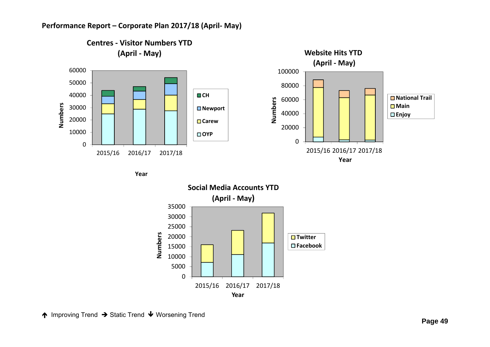

### **Performance Report – Corporate Plan 2017/18 (April‐ May)**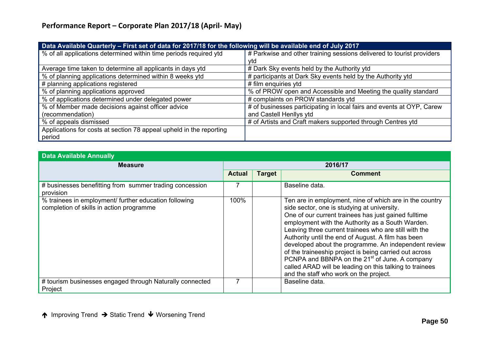| Data Available Quarterly - First set of data for 2017/18 for the following will be available end of July 2017 |                                                                       |
|---------------------------------------------------------------------------------------------------------------|-----------------------------------------------------------------------|
| % of all applications determined within time periods required ytd                                             | # Parkwise and other training sessions delivered to tourist providers |
|                                                                                                               | vtd                                                                   |
| Average time taken to determine all applicants in days ytd                                                    | # Dark Sky events held by the Authority ytd                           |
| % of planning applications determined within 8 weeks ytd                                                      | # participants at Dark Sky events held by the Authority ytd           |
| # planning applications registered                                                                            | # film enquiries ytd                                                  |
| % of planning applications approved                                                                           | % of PROW open and Accessible and Meeting the quality standard        |
| % of applications determined under delegated power                                                            | # complaints on PROW standards ytd                                    |
| % of Member made decisions against officer advice                                                             | # of businesses participating in local fairs and events at OYP, Carew |
| (recommendation)                                                                                              | and Castell Henllys ytd                                               |
| % of appeals dismissed                                                                                        | # of Artists and Craft makers supported through Centres ytd           |
| Applications for costs at section 78 appeal upheld in the reporting                                           |                                                                       |
| period                                                                                                        |                                                                       |

|  | Data Available Quarterly - First set of data for 2017/18 for the following will be available end of July 2017 |  |
|--|---------------------------------------------------------------------------------------------------------------|--|
|  |                                                                                                               |  |

| <b>Data Available Annually</b>                                                                    |               |               |                                                                                                                                                                                                                                                                                                                                                                                                                                                                                                                                                                                                                        |  |  |  |
|---------------------------------------------------------------------------------------------------|---------------|---------------|------------------------------------------------------------------------------------------------------------------------------------------------------------------------------------------------------------------------------------------------------------------------------------------------------------------------------------------------------------------------------------------------------------------------------------------------------------------------------------------------------------------------------------------------------------------------------------------------------------------------|--|--|--|
| <b>Measure</b>                                                                                    |               | 2016/17       |                                                                                                                                                                                                                                                                                                                                                                                                                                                                                                                                                                                                                        |  |  |  |
|                                                                                                   | <b>Actual</b> | <b>Target</b> | <b>Comment</b>                                                                                                                                                                                                                                                                                                                                                                                                                                                                                                                                                                                                         |  |  |  |
| # businesses benefitting from summer trading concession<br>provision                              | 7             |               | Baseline data.                                                                                                                                                                                                                                                                                                                                                                                                                                                                                                                                                                                                         |  |  |  |
| % trainees in employment/ further education following<br>completion of skills in action programme | 100%          |               | Ten are in employment, nine of which are in the country<br>side sector, one is studying at university.<br>One of our current trainees has just gained fulltime<br>employment with the Authority as a South Warden.<br>Leaving three current trainees who are still with the<br>Authority until the end of August. A film has been<br>developed about the programme. An independent review<br>of the traineeship project is being carried out across<br>PCNPA and BBNPA on the 21 <sup>st</sup> of June. A company<br>called ARAD will be leading on this talking to trainees<br>and the staff who work on the project. |  |  |  |
| # tourism businesses engaged through Naturally connected<br>Project                               |               |               | Baseline data.                                                                                                                                                                                                                                                                                                                                                                                                                                                                                                                                                                                                         |  |  |  |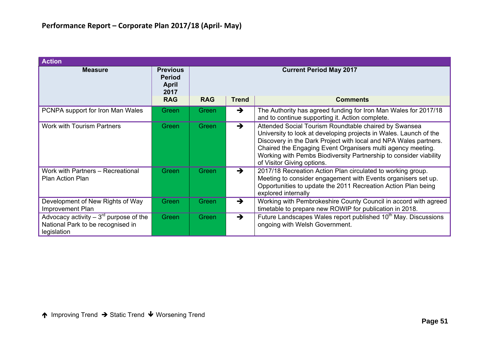| <b>Action</b>                                                                                  |                                                          |                                |               |                                                                                                                                                                                                                                                                                                                                                                  |  |  |  |
|------------------------------------------------------------------------------------------------|----------------------------------------------------------|--------------------------------|---------------|------------------------------------------------------------------------------------------------------------------------------------------------------------------------------------------------------------------------------------------------------------------------------------------------------------------------------------------------------------------|--|--|--|
| <b>Measure</b>                                                                                 | <b>Previous</b><br><b>Period</b><br><b>April</b><br>2017 | <b>Current Period May 2017</b> |               |                                                                                                                                                                                                                                                                                                                                                                  |  |  |  |
|                                                                                                | <b>RAG</b>                                               | <b>RAG</b>                     | <b>Trend</b>  | <b>Comments</b>                                                                                                                                                                                                                                                                                                                                                  |  |  |  |
| PCNPA support for Iron Man Wales                                                               | Green                                                    | Green                          | →             | The Authority has agreed funding for Iron Man Wales for 2017/18<br>and to continue supporting it. Action complete.                                                                                                                                                                                                                                               |  |  |  |
| <b>Work with Tourism Partners</b>                                                              | Green                                                    | Green                          | →             | Attended Social Tourism Roundtable chaired by Swansea<br>University to look at developing projects in Wales. Launch of the<br>Discovery in the Dark Project with local and NPA Wales partners.<br>Chaired the Engaging Event Organisers multi agency meeting.<br>Working with Pembs Biodiversity Partnership to consider viability<br>of Visitor Giving options. |  |  |  |
| Work with Partners - Recreational<br><b>Plan Action Plan</b>                                   | <b>Green</b>                                             | Green                          | $\rightarrow$ | 2017/18 Recreation Action Plan circulated to working group.<br>Meeting to consider engagement with Events organisers set up.<br>Opportunities to update the 2011 Recreation Action Plan being<br>explored internally                                                                                                                                             |  |  |  |
| Development of New Rights of Way<br><b>Improvement Plan</b>                                    | Green                                                    | Green                          | $\rightarrow$ | Working with Pembrokeshire County Council in accord with agreed<br>timetable to prepare new ROWIP for publication in 2018.                                                                                                                                                                                                                                       |  |  |  |
| Advocacy activity $-3^{rd}$ purpose of the<br>National Park to be recognised in<br>legislation | Green                                                    | <b>Green</b>                   | →             | Future Landscapes Wales report published 10 <sup>th</sup> May. Discussions<br>ongoing with Welsh Government.                                                                                                                                                                                                                                                     |  |  |  |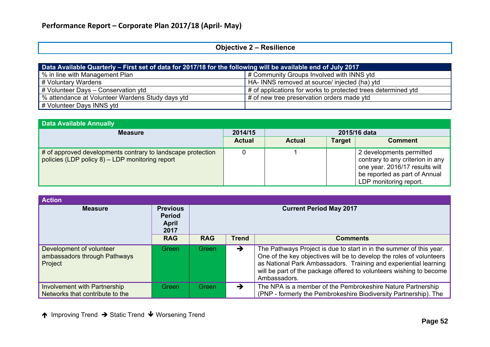# **Objective 2 – Resilience**

| Data Available Quarterly - First set of data for 2017/18 for the following will be available end of July 2017 |                                                                        |  |  |  |  |
|---------------------------------------------------------------------------------------------------------------|------------------------------------------------------------------------|--|--|--|--|
| Ⅰ % in line with Management Plan                                                                              | # Community Groups Involved with INNS ytd                              |  |  |  |  |
| $\vert$ # Voluntary Wardens                                                                                   | HA-INNS removed at source/ injected (ha) ytd                           |  |  |  |  |
| $\parallel$ # Volunteer Days – Conservation ytd                                                               | $\vert \#$ of applications for works to protected trees determined ytd |  |  |  |  |
| Ⅰ % attendance at Volunteer Wardens Study days ytd                                                            | $\frac{1}{4}$ of new tree preservation orders made ytd                 |  |  |  |  |
| # Volunteer Days INNS ytd                                                                                     |                                                                        |  |  |  |  |

| <b>Data Available Annually</b>                                                                                 |               |               |               |                                                                                                                                                           |  |  |
|----------------------------------------------------------------------------------------------------------------|---------------|---------------|---------------|-----------------------------------------------------------------------------------------------------------------------------------------------------------|--|--|
| <b>Measure</b>                                                                                                 | 2014/15       |               |               | 2015/16 data                                                                                                                                              |  |  |
|                                                                                                                | <b>Actual</b> | <b>Actual</b> | <b>Target</b> | <b>Comment</b>                                                                                                                                            |  |  |
| # of approved developments contrary to landscape protection<br>policies (LDP policy 8) - LDP monitoring report |               |               |               | 2 developments permitted<br>contrary to any criterion in any<br>one year. 2016/17 results will<br>be reported as part of Annual<br>LDP monitoring report. |  |  |

| <b>Action</b>                                                       |                                                          |                                |               |                                                                                                                                                                                                                                                                                                        |  |  |
|---------------------------------------------------------------------|----------------------------------------------------------|--------------------------------|---------------|--------------------------------------------------------------------------------------------------------------------------------------------------------------------------------------------------------------------------------------------------------------------------------------------------------|--|--|
| <b>Measure</b>                                                      | <b>Previous</b><br><b>Period</b><br><b>April</b><br>2017 | <b>Current Period May 2017</b> |               |                                                                                                                                                                                                                                                                                                        |  |  |
|                                                                     | <b>RAG</b>                                               | <b>RAG</b>                     | <b>Trend</b>  | <b>Comments</b>                                                                                                                                                                                                                                                                                        |  |  |
| Development of volunteer<br>ambassadors through Pathways<br>Project | Green.                                                   | Green                          | →             | The Pathways Project is due to start in in the summer of this year.<br>One of the key objectives will be to develop the roles of volunteers<br>as National Park Ambassadors. Training and experiential learning<br>will be part of the package offered to volunteers wishing to become<br>Ambassadors. |  |  |
| Involvement with Partnership<br>Networks that contribute to the     | Green                                                    | Green                          | $\rightarrow$ | The NPA is a member of the Pembrokeshire Nature Partnership<br>(PNP - formerly the Pembrokeshire Biodiversity Partnership). The                                                                                                                                                                        |  |  |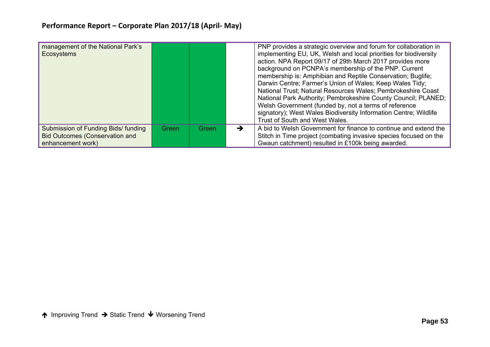| management of the National Park's<br><b>Ecosystems</b>                                            |       |       |               | PNP provides a strategic overview and forum for collaboration in<br>implementing EU, UK, Welsh and local priorities for biodiversity<br>action. NPA Report 09/17 of 29th March 2017 provides more<br>background on PCNPA's membership of the PNP. Current<br>membership is: Amphibian and Reptile Conservation; Buglife;<br>Darwin Centre; Farmer's Union of Wales; Keep Wales Tidy;<br>National Trust; Natural Resources Wales; Pembrokeshire Coast<br>National Park Authority; Pembrokeshire County Council; PLANED;<br>Welsh Government (funded by, not a terms of reference<br>signatory); West Wales Biodiversity Information Centre; Wildlife<br>Trust of South and West Wales. |
|---------------------------------------------------------------------------------------------------|-------|-------|---------------|---------------------------------------------------------------------------------------------------------------------------------------------------------------------------------------------------------------------------------------------------------------------------------------------------------------------------------------------------------------------------------------------------------------------------------------------------------------------------------------------------------------------------------------------------------------------------------------------------------------------------------------------------------------------------------------|
| Submission of Funding Bids/ funding<br><b>Bid Outcomes (Conservation and</b><br>enhancement work) | Green | Green | $\rightarrow$ | A bid to Welsh Government for finance to continue and extend the<br>Stitch in Time project (combating invasive species focused on the<br>Gwaun catchment) resulted in £100k being awarded.                                                                                                                                                                                                                                                                                                                                                                                                                                                                                            |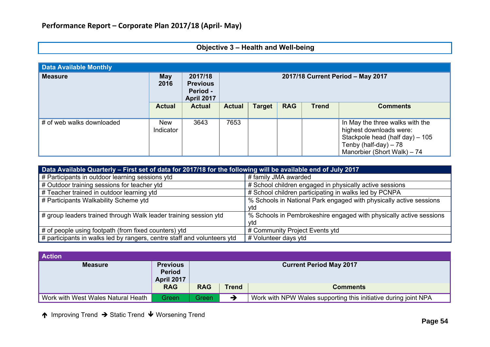# **Objective 3 – Health and Well-being**

| <b>Data Available Monthly</b> |                    |                                                             |               |                                   |            |              |                                                                                                                                                        |
|-------------------------------|--------------------|-------------------------------------------------------------|---------------|-----------------------------------|------------|--------------|--------------------------------------------------------------------------------------------------------------------------------------------------------|
| <b>Measure</b>                | <b>May</b><br>2016 | 2017/18<br><b>Previous</b><br>Period -<br><b>April 2017</b> |               | 2017/18 Current Period - May 2017 |            |              |                                                                                                                                                        |
|                               | <b>Actual</b>      | <b>Actual</b>                                               | <b>Actual</b> | <b>Target</b>                     | <b>RAG</b> | <b>Trend</b> | <b>Comments</b>                                                                                                                                        |
| # of web walks downloaded     | New<br>Indicator   | 3643                                                        | 7653          |                                   |            |              | In May the three walks with the<br>highest downloads were:<br>Stackpole head (half day) - 105<br>Tenby (half-day) $-78$<br>Manorbier (Short Walk) - 74 |

| Data Available Quarterly - First set of data for 2017/18 for the following will be available end of July 2017 |                                                                    |
|---------------------------------------------------------------------------------------------------------------|--------------------------------------------------------------------|
| # Participants in outdoor learning sessions ytd                                                               | # family JMA awarded                                               |
| # Outdoor training sessions for teacher ytd                                                                   | # School children engaged in physically active sessions            |
| # Teacher trained in outdoor learning ytd                                                                     | # School children participating in walks led by PCNPA              |
| # Participants Walkability Scheme ytd                                                                         | % Schools in National Park engaged with physically active sessions |
|                                                                                                               | vtd                                                                |
| # group leaders trained through Walk leader training session ytd                                              | % Schools in Pembrokeshire engaged with physically active sessions |
|                                                                                                               | vtd                                                                |
| # of people using footpath (from fixed counters) ytd                                                          | # Community Project Events ytd                                     |
| # participants in walks led by rangers, centre staff and volunteers ytd                                       | # Volunteer days ytd                                               |

| <b>Action</b>                      |                   |                                |       |                                                                 |  |
|------------------------------------|-------------------|--------------------------------|-------|-----------------------------------------------------------------|--|
| <b>Measure</b>                     | <b>Previous</b>   | <b>Current Period May 2017</b> |       |                                                                 |  |
|                                    | <b>Period</b>     |                                |       |                                                                 |  |
|                                    | <b>April 2017</b> |                                |       |                                                                 |  |
|                                    | <b>RAG</b>        | <b>RAG</b>                     | Trend | <b>Comments</b>                                                 |  |
| Work with West Wales Natural Heath | Green             | Green                          |       | Work with NPW Wales supporting this initiative during joint NPA |  |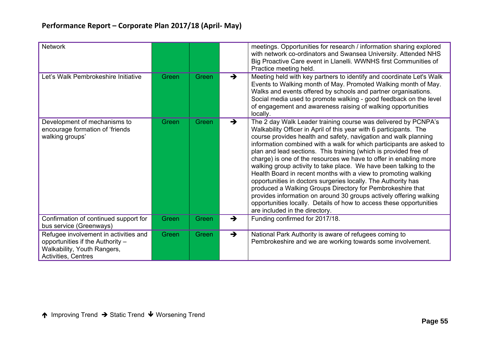| <b>Network</b>                                                                                                                  |       |       |               | meetings. Opportunities for research / information sharing explored<br>with network co-ordinators and Swansea University. Attended NHS<br>Big Proactive Care event in Llanelli. WWNHS first Communities of<br>Practice meeting held.                                                                                                                                                                                                                                                                                                                                                                                                                                                                                                                                                                                                                                          |
|---------------------------------------------------------------------------------------------------------------------------------|-------|-------|---------------|-------------------------------------------------------------------------------------------------------------------------------------------------------------------------------------------------------------------------------------------------------------------------------------------------------------------------------------------------------------------------------------------------------------------------------------------------------------------------------------------------------------------------------------------------------------------------------------------------------------------------------------------------------------------------------------------------------------------------------------------------------------------------------------------------------------------------------------------------------------------------------|
| Let's Walk Pembrokeshire Initiative                                                                                             | Green | Green | $\rightarrow$ | Meeting held with key partners to identify and coordinate Let's Walk<br>Events to Walking month of May. Promoted Walking month of May.<br>Walks and events offered by schools and partner organisations.<br>Social media used to promote walking - good feedback on the level<br>of engagement and awareness raising of walking opportunities<br>locally.                                                                                                                                                                                                                                                                                                                                                                                                                                                                                                                     |
| Development of mechanisms to<br>encourage formation of 'friends<br>walking groups'                                              | Green | Green | $\rightarrow$ | The 2 day Walk Leader training course was delivered by PCNPA's<br>Walkability Officer in April of this year with 6 participants. The<br>course provides health and safety, navigation and walk planning<br>information combined with a walk for which participants are asked to<br>plan and lead sections. This training (which is provided free of<br>charge) is one of the resources we have to offer in enabling more<br>walking group activity to take place. We have been talking to the<br>Health Board in recent months with a view to promoting walking<br>opportunities in doctors surgeries locally. The Authority has<br>produced a Walking Groups Directory for Pembrokeshire that<br>provides information on around 30 groups actively offering walking<br>opportunities locally. Details of how to access these opportunities<br>are included in the directory. |
| Confirmation of continued support for<br>bus service (Greenways)                                                                | Green | Green | $\rightarrow$ | Funding confirmed for 2017/18.                                                                                                                                                                                                                                                                                                                                                                                                                                                                                                                                                                                                                                                                                                                                                                                                                                                |
| Refugee involvement in activities and<br>opportunities if the Authority -<br>Walkability, Youth Rangers,<br>Activities, Centres | Green | Green | $\rightarrow$ | National Park Authority is aware of refugees coming to<br>Pembrokeshire and we are working towards some involvement.                                                                                                                                                                                                                                                                                                                                                                                                                                                                                                                                                                                                                                                                                                                                                          |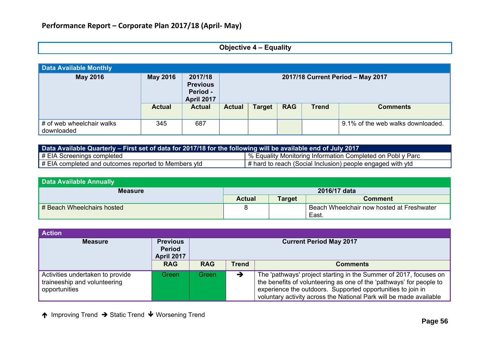# **Objective 4 – Equality**

| Data Available Monthly                  |                 |                                                             |                                   |               |            |              |                                   |
|-----------------------------------------|-----------------|-------------------------------------------------------------|-----------------------------------|---------------|------------|--------------|-----------------------------------|
| <b>May 2016</b>                         | <b>May 2016</b> | 2017/18<br><b>Previous</b><br>Period -<br><b>April 2017</b> | 2017/18 Current Period - May 2017 |               |            |              |                                   |
|                                         | <b>Actual</b>   | <b>Actual</b>                                               | <b>Actual</b>                     | <b>Target</b> | <b>RAG</b> | <b>Trend</b> | <b>Comments</b>                   |
| # of web wheelchair walks<br>downloaded | 345             | 687                                                         |                                   |               |            |              | 9.1% of the web walks downloaded. |

| Data Available Quarterly – First set of data for 2017/18 for the following will be available end of July 2017 |                                                                        |  |  |  |  |
|---------------------------------------------------------------------------------------------------------------|------------------------------------------------------------------------|--|--|--|--|
| $\vert \#$ EIA Screenings completed                                                                           | Ⅰ % Equality Monitoring Information Completed on Pobl y Parc           |  |  |  |  |
| $\parallel \#$ EIA completed and outcomes reported to Members ytd                                             | $\parallel$ # hard to reach (Social Inclusion) people engaged with ytd |  |  |  |  |

| <b>Data Available Annually</b> |               |               |                                                    |
|--------------------------------|---------------|---------------|----------------------------------------------------|
| <b>Measure</b>                 |               |               | 2016/17 data                                       |
|                                | <b>Actual</b> | <b>Target</b> | <b>Comment</b>                                     |
| # Beach Wheelchairs hosted     |               |               | Beach Wheelchair now hosted at Freshwater<br>East. |

| <b>Action</b>                                                                     |                                                       |                                |              |                                                                                                                                                                                                                                                                               |  |  |
|-----------------------------------------------------------------------------------|-------------------------------------------------------|--------------------------------|--------------|-------------------------------------------------------------------------------------------------------------------------------------------------------------------------------------------------------------------------------------------------------------------------------|--|--|
| <b>Measure</b>                                                                    | <b>Previous</b><br><b>Period</b><br><b>April 2017</b> | <b>Current Period May 2017</b> |              |                                                                                                                                                                                                                                                                               |  |  |
|                                                                                   | <b>RAG</b>                                            | <b>RAG</b>                     | <b>Trend</b> | <b>Comments</b>                                                                                                                                                                                                                                                               |  |  |
| Activities undertaken to provide<br>traineeship and volunteering<br>opportunities | Greenl                                                | Green                          | →            | The 'pathways' project starting in the Summer of 2017, focuses on<br>the benefits of volunteering as one of the 'pathways' for people to<br>experience the outdoors. Supported opportunities to join in<br>voluntary activity across the National Park will be made available |  |  |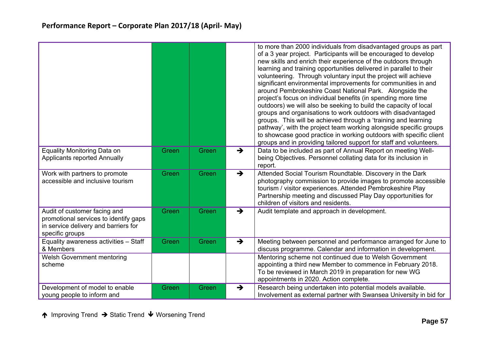|                                                                                                                                  |       |              | to more than 2000 individuals from disadvantaged groups as part<br>of a 3 year project. Participants will be encouraged to develop<br>new skills and enrich their experience of the outdoors through<br>learning and training opportunities delivered in parallel to their<br>volunteering. Through voluntary input the project will achieve<br>significant environmental improvements for communities in and<br>around Pembrokeshire Coast National Park. Alongside the<br>project's focus on individual benefits (in spending more time<br>outdoors) we will also be seeking to build the capacity of local<br>groups and organisations to work outdoors with disadvantaged<br>groups. This will be achieved through a 'training and learning<br>pathway', with the project team working alongside specific groups<br>to showcase good practice in working outdoors with specific client<br>groups and in providing tailored support for staff and volunteers. |
|----------------------------------------------------------------------------------------------------------------------------------|-------|--------------|------------------------------------------------------------------------------------------------------------------------------------------------------------------------------------------------------------------------------------------------------------------------------------------------------------------------------------------------------------------------------------------------------------------------------------------------------------------------------------------------------------------------------------------------------------------------------------------------------------------------------------------------------------------------------------------------------------------------------------------------------------------------------------------------------------------------------------------------------------------------------------------------------------------------------------------------------------------|
| <b>Equality Monitoring Data on</b><br><b>Applicants reported Annually</b>                                                        | Green | Green        | Data to be included as part of Annual Report on meeting Well-<br>$\rightarrow$<br>being Objectives. Personnel collating data for its inclusion in<br>report.                                                                                                                                                                                                                                                                                                                                                                                                                                                                                                                                                                                                                                                                                                                                                                                                     |
| Work with partners to promote<br>accessible and inclusive tourism                                                                | Green | <b>Green</b> | $\rightarrow$<br>Attended Social Tourism Roundtable. Discovery in the Dark<br>photography commission to provide images to promote accessible<br>tourism / visitor experiences. Attended Pembrokeshire Play<br>Partnership meeting and discussed Play Day opportunities for<br>children of visitors and residents.                                                                                                                                                                                                                                                                                                                                                                                                                                                                                                                                                                                                                                                |
| Audit of customer facing and<br>promotional services to identify gaps<br>in service delivery and barriers for<br>specific groups | Green | Green        | $\rightarrow$<br>Audit template and approach in development.                                                                                                                                                                                                                                                                                                                                                                                                                                                                                                                                                                                                                                                                                                                                                                                                                                                                                                     |
| Equality awareness activities - Staff<br>& Members                                                                               | Green | Green        | $\rightarrow$<br>Meeting between personnel and performance arranged for June to<br>discuss programme. Calendar and information in development.                                                                                                                                                                                                                                                                                                                                                                                                                                                                                                                                                                                                                                                                                                                                                                                                                   |
| Welsh Government mentoring<br>scheme                                                                                             |       |              | Mentoring scheme not continued due to Welsh Government<br>appointing a third new Member to commence in February 2018.<br>To be reviewed in March 2019 in preparation for new WG<br>appointments in 2020. Action complete.                                                                                                                                                                                                                                                                                                                                                                                                                                                                                                                                                                                                                                                                                                                                        |
| Development of model to enable<br>young people to inform and                                                                     | Green | Green        | Research being undertaken into potential models available.<br>$\rightarrow$<br>Involvement as external partner with Swansea University in bid for                                                                                                                                                                                                                                                                                                                                                                                                                                                                                                                                                                                                                                                                                                                                                                                                                |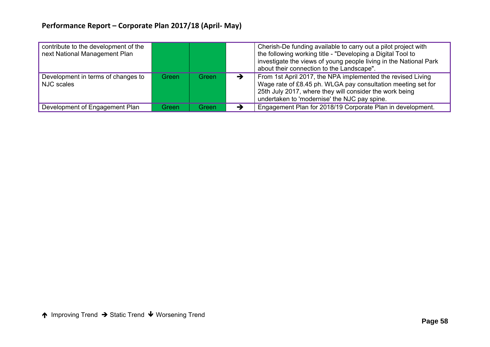# **Performance Report – Corporate Plan 2017/18 (April‐ May)**

| contribute to the development of the<br>next National Management Plan |       |       | Cherish-De funding available to carry out a pilot project with<br>the following working title - "Developing a Digital Tool to<br>investigate the views of young people living in the National Park<br>about their connection to the Landscape". |
|-----------------------------------------------------------------------|-------|-------|-------------------------------------------------------------------------------------------------------------------------------------------------------------------------------------------------------------------------------------------------|
| Development in terms of changes to<br>NJC scales                      | Green | Green | From 1st April 2017, the NPA implemented the revised Living<br>→<br>Wage rate of £8.45 ph. WLGA pay consultation meeting set for<br>25th July 2017, where they will consider the work being<br>undertaken to 'modernise' the NJC pay spine.     |
| Development of Engagement Plan                                        | Green | Green | Engagement Plan for 2018/19 Corporate Plan in development.<br>→                                                                                                                                                                                 |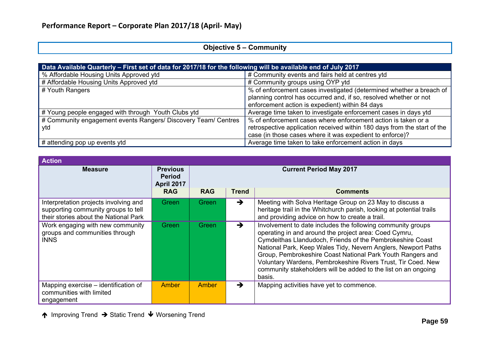# **Objective 5 – Community**

| Data Available Quarterly - First set of data for 2017/18 for the following will be available end of July 2017 |                                                                          |  |  |  |
|---------------------------------------------------------------------------------------------------------------|--------------------------------------------------------------------------|--|--|--|
| % Affordable Housing Units Approved ytd                                                                       | # Community events and fairs held at centres ytd                         |  |  |  |
| # Affordable Housing Units Approved ytd                                                                       | # Community groups using OYP ytd                                         |  |  |  |
| # Youth Rangers                                                                                               | % of enforcement cases investigated (determined whether a breach of      |  |  |  |
|                                                                                                               | planning control has occurred and, if so, resolved whether or not        |  |  |  |
|                                                                                                               | enforcement action is expedient) within 84 days                          |  |  |  |
| # Young people engaged with through Youth Clubs ytd                                                           | Average time taken to investigate enforcement cases in days ytd          |  |  |  |
| # Community engagement events Rangers/ Discovery Team/ Centres                                                | % of enforcement cases where enforcement action is taken or a            |  |  |  |
| ytd                                                                                                           | retrospective application received within 180 days from the start of the |  |  |  |
|                                                                                                               | case (in those cases where it was expedient to enforce)?                 |  |  |  |
| $\sharp$ # attending pop up events ytd                                                                        | Average time taken to take enforcement action in days                    |  |  |  |

| <b>Action</b>                                                                                                         |                                                       |                                |               |                                                                                                                                                                                                                                                                                                                                                                                                                                                              |  |  |
|-----------------------------------------------------------------------------------------------------------------------|-------------------------------------------------------|--------------------------------|---------------|--------------------------------------------------------------------------------------------------------------------------------------------------------------------------------------------------------------------------------------------------------------------------------------------------------------------------------------------------------------------------------------------------------------------------------------------------------------|--|--|
| <b>Measure</b>                                                                                                        | <b>Previous</b><br><b>Period</b><br><b>April 2017</b> | <b>Current Period May 2017</b> |               |                                                                                                                                                                                                                                                                                                                                                                                                                                                              |  |  |
|                                                                                                                       | <b>RAG</b>                                            | <b>RAG</b>                     | <b>Trend</b>  | <b>Comments</b>                                                                                                                                                                                                                                                                                                                                                                                                                                              |  |  |
| Interpretation projects involving and<br>supporting community groups to tell<br>their stories about the National Park | Green                                                 | Green                          | $\rightarrow$ | Meeting with Solva Heritage Group on 23 May to discuss a<br>heritage trail in the Whitchurch parish, looking at potential trails<br>and providing advice on how to create a trail.                                                                                                                                                                                                                                                                           |  |  |
| Work engaging with new community<br>groups and communities through<br><b>INNS</b>                                     | <b>Green</b>                                          | Green                          | →             | Involvement to date includes the following community groups<br>operating in and around the project area: Coed Cymru,<br>Cymdeithas Llandudoch, Friends of the Pembrokeshire Coast<br>National Park, Keep Wales Tidy, Nevern Anglers, Newport Paths<br>Group, Pembrokeshire Coast National Park Youth Rangers and<br>Voluntary Wardens, Pembrokeshire Rivers Trust, Tir Coed. New<br>community stakeholders will be added to the list on an ongoing<br>basis. |  |  |
| Mapping exercise – identification of<br>communities with limited<br>engagement                                        | <b>Amber</b>                                          | Amber                          | →             | Mapping activities have yet to commence.                                                                                                                                                                                                                                                                                                                                                                                                                     |  |  |

↑ Improving Trend → Static Trend ↓ Worsening Trend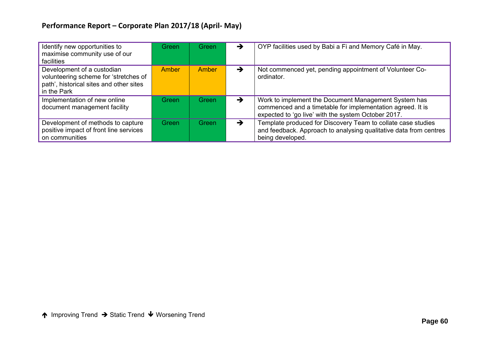# **Performance Report – Corporate Plan 2017/18 (April‐ May)**

| Identify new opportunities to<br>maximise community use of our<br>facilities                                                  | Green | Green | →             | OYP facilities used by Babi a Fi and Memory Café in May.                                                                                                                  |
|-------------------------------------------------------------------------------------------------------------------------------|-------|-------|---------------|---------------------------------------------------------------------------------------------------------------------------------------------------------------------------|
| Development of a custodian<br>volunteering scheme for 'stretches of<br>path', historical sites and other sites<br>in the Park | Amber | Amber | $\rightarrow$ | Not commenced yet, pending appointment of Volunteer Co-<br>ordinator.                                                                                                     |
| Implementation of new online<br>document management facility                                                                  | Green | Green | →             | Work to implement the Document Management System has<br>commenced and a timetable for implementation agreed. It is<br>expected to 'go live' with the system October 2017. |
| Development of methods to capture<br>positive impact of front line services<br>on communities                                 | Green | Green | $\rightarrow$ | Template produced for Discovery Team to collate case studies<br>and feedback. Approach to analysing qualitative data from centres<br>being developed.                     |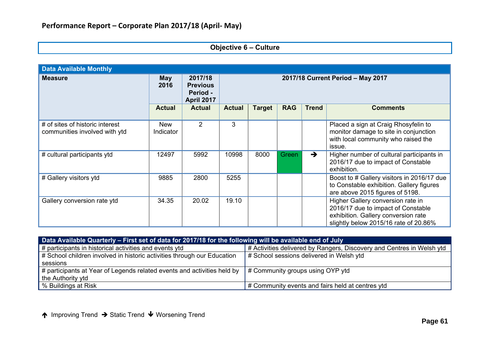### **Objective 6 – Culture**

| <b>Data Available Monthly</b>                                    |                         |                                                             |                                   |               |            |               |                                                                                                                                                         |
|------------------------------------------------------------------|-------------------------|-------------------------------------------------------------|-----------------------------------|---------------|------------|---------------|---------------------------------------------------------------------------------------------------------------------------------------------------------|
| <b>Measure</b>                                                   | <b>May</b><br>2016      | 2017/18<br><b>Previous</b><br>Period -<br><b>April 2017</b> | 2017/18 Current Period - May 2017 |               |            |               |                                                                                                                                                         |
|                                                                  | <b>Actual</b>           | <b>Actual</b>                                               | <b>Actual</b>                     | <b>Target</b> | <b>RAG</b> | <b>Trend</b>  | <b>Comments</b>                                                                                                                                         |
| # of sites of historic interest<br>communities involved with ytd | <b>New</b><br>Indicator | 2                                                           | 3                                 |               |            |               | Placed a sign at Craig Rhosyfelin to<br>monitor damage to site in conjunction<br>with local community who raised the<br>issue.                          |
| # cultural participants ytd                                      | 12497                   | 5992                                                        | 10998                             | 8000          | Green      | $\rightarrow$ | Higher number of cultural participants in<br>2016/17 due to impact of Constable<br>exhibition.                                                          |
| # Gallery visitors ytd                                           | 9885                    | 2800                                                        | 5255                              |               |            |               | Boost to # Gallery visitors in 2016/17 due<br>to Constable exhibition. Gallery figures<br>are above 2015 figures of 5198.                               |
| Gallery conversion rate ytd                                      | 34.35                   | 20.02                                                       | 19.10                             |               |            |               | Higher Gallery conversion rate in<br>2016/17 due to impact of Constable<br>exhibition. Gallery conversion rate<br>slightly below 2015/16 rate of 20.86% |

| Data Available Quarterly – First set of data for 2017/18 for the following will be available end of July              |                                                                       |  |  |  |  |
|-----------------------------------------------------------------------------------------------------------------------|-----------------------------------------------------------------------|--|--|--|--|
| $\parallel$ # participants in historical activities and events ytd                                                    | # Activities delivered by Rangers, Discovery and Centres in Welsh ytd |  |  |  |  |
| # School children involved in historic activities through our Education                                               | # School sessions delivered in Welsh ytd                              |  |  |  |  |
| sessions                                                                                                              |                                                                       |  |  |  |  |
| # participants at Year of Legends related events and activities held by $\parallel \#$ Community groups using OYP ytd |                                                                       |  |  |  |  |
| $\mathsf I$ the Authority ytd                                                                                         |                                                                       |  |  |  |  |
| Ⅰ % Buildings at Risk                                                                                                 | $\vert \#$ Community events and fairs held at centres ytd             |  |  |  |  |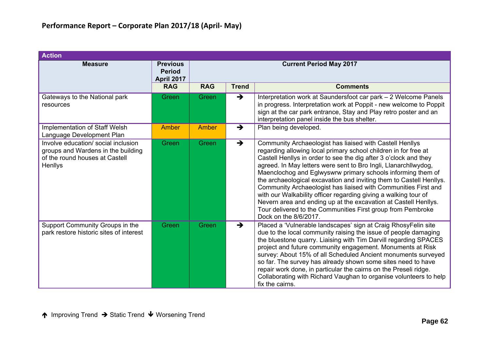| <b>Action</b>                                                                                                          |                                                       |                                |               |                                                                                                                                                                                                                                                                                                                                                                                                                                                                                                                                                                                                                                                                                                          |  |  |
|------------------------------------------------------------------------------------------------------------------------|-------------------------------------------------------|--------------------------------|---------------|----------------------------------------------------------------------------------------------------------------------------------------------------------------------------------------------------------------------------------------------------------------------------------------------------------------------------------------------------------------------------------------------------------------------------------------------------------------------------------------------------------------------------------------------------------------------------------------------------------------------------------------------------------------------------------------------------------|--|--|
| <b>Measure</b>                                                                                                         | <b>Previous</b><br><b>Period</b><br><b>April 2017</b> | <b>Current Period May 2017</b> |               |                                                                                                                                                                                                                                                                                                                                                                                                                                                                                                                                                                                                                                                                                                          |  |  |
|                                                                                                                        | <b>RAG</b>                                            | <b>RAG</b>                     | <b>Trend</b>  | <b>Comments</b>                                                                                                                                                                                                                                                                                                                                                                                                                                                                                                                                                                                                                                                                                          |  |  |
| Gateways to the National park<br>resources                                                                             | Green                                                 | Green                          | $\rightarrow$ | Interpretation work at Saundersfoot car park - 2 Welcome Panels<br>in progress. Interpretation work at Poppit - new welcome to Poppit<br>sign at the car park entrance, Stay and Play retro poster and an<br>interpretation panel inside the bus shelter.                                                                                                                                                                                                                                                                                                                                                                                                                                                |  |  |
| Implementation of Staff Welsh<br>Language Development Plan                                                             | <b>Amber</b>                                          | <b>Amber</b>                   | $\rightarrow$ | Plan being developed.                                                                                                                                                                                                                                                                                                                                                                                                                                                                                                                                                                                                                                                                                    |  |  |
| Involve education/ social inclusion<br>groups and Wardens in the building<br>of the round houses at Castell<br>Henllys | Green                                                 | Green                          | $\rightarrow$ | Community Archaeologist has liaised with Castell Henllys<br>regarding allowing local primary school children in for free at<br>Castell Henllys in order to see the dig after 3 o'clock and they<br>agreed. In May letters were sent to Bro Ingli, Llanarchllwydog,<br>Maenclochog and Eglwyswrw primary schools informing them of<br>the archaeological excavation and inviting them to Castell Henllys.<br>Community Archaeologist has liaised with Communities First and<br>with our Walkability officer regarding giving a walking tour of<br>Nevern area and ending up at the excavation at Castell Henllys.<br>Tour delivered to the Communities First group from Pembroke<br>Dock on the 8/6/2017. |  |  |
| Support Community Groups in the<br>park restore historic sites of interest                                             | Green                                                 | Green                          | $\rightarrow$ | Placed a 'Vulnerable landscapes' sign at Craig RhosyFelin site<br>due to the local community raising the issue of people damaging<br>the bluestone quarry. Liaising with Tim Darvill regarding SPACES<br>project and future community engagement. Monuments at Risk<br>survey: About 15% of all Scheduled Ancient monuments surveyed<br>so far. The survey has already shown some sites need to have<br>repair work done, in particular the cairns on the Preseli ridge.<br>Collaborating with Richard Vaughan to organise volunteers to help<br>fix the cairns.                                                                                                                                         |  |  |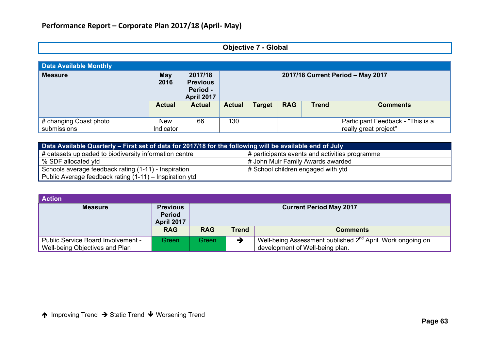# **Objective 7 - Global**

| <b>Data Available Monthly</b>         |                         |                                                             |                                   |               |            |              |                                                            |  |
|---------------------------------------|-------------------------|-------------------------------------------------------------|-----------------------------------|---------------|------------|--------------|------------------------------------------------------------|--|
| <b>Measure</b>                        | <b>May</b><br>2016      | 2017/18<br><b>Previous</b><br>Period -<br><b>April 2017</b> | 2017/18 Current Period - May 2017 |               |            |              |                                                            |  |
|                                       | <b>Actual</b>           | <b>Actual</b>                                               | <b>Actual</b>                     | <b>Target</b> | <b>RAG</b> | <b>Trend</b> | <b>Comments</b>                                            |  |
| # changing Coast photo<br>submissions | <b>New</b><br>Indicator | 66                                                          | 130                               |               |            |              | Participant Feedback - "This is a<br>really great project" |  |

| Data Available Quarterly – First set of data for 2017/18 for the following will be available end of July |                                                   |  |  |  |  |  |  |
|----------------------------------------------------------------------------------------------------------|---------------------------------------------------|--|--|--|--|--|--|
| # datasets uploaded to biodiversity information centre                                                   | $\#$ participants events and activities programme |  |  |  |  |  |  |
| │ % SDF allocated ytd                                                                                    | # John Muir Family Awards awarded                 |  |  |  |  |  |  |
| Schools average feedback rating (1-11) - Inspiration                                                     | $\sharp$ # School children engaged with ytd       |  |  |  |  |  |  |
| Public Average feedback rating (1-11) – Inspiration ytd                                                  |                                                   |  |  |  |  |  |  |

| <b>Action</b>                                                        |                                                       |                                                                                 |   |                                                                                                           |  |  |
|----------------------------------------------------------------------|-------------------------------------------------------|---------------------------------------------------------------------------------|---|-----------------------------------------------------------------------------------------------------------|--|--|
| <b>Measure</b>                                                       | <b>Previous</b><br><b>Period</b><br><b>April 2017</b> | <b>Current Period May 2017</b><br><b>RAG</b><br><b>Trend</b><br><b>Comments</b> |   |                                                                                                           |  |  |
|                                                                      | <b>RAG</b>                                            |                                                                                 |   |                                                                                                           |  |  |
| Public Service Board Involvement -<br>Well-being Objectives and Plan | Green                                                 | Green                                                                           | → | Well-being Assessment published 2 <sup>nd</sup> April. Work ongoing on<br>development of Well-being plan. |  |  |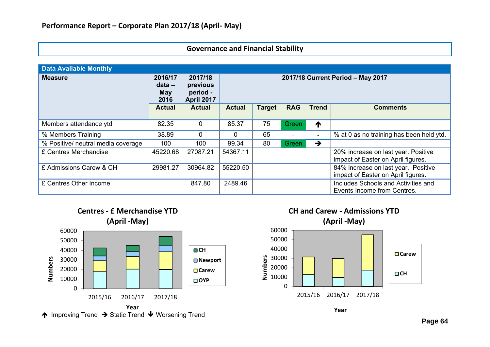| <b>Data Available Monthly</b>      |                                           |                                                      |                                   |               |                          |               |                                                                           |  |
|------------------------------------|-------------------------------------------|------------------------------------------------------|-----------------------------------|---------------|--------------------------|---------------|---------------------------------------------------------------------------|--|
| <b>Measure</b>                     | 2016/17<br>$data -$<br><b>May</b><br>2016 | 2017/18<br>previous<br>period -<br><b>April 2017</b> | 2017/18 Current Period - May 2017 |               |                          |               |                                                                           |  |
|                                    | <b>Actual</b>                             | <b>Actual</b>                                        | <b>Actual</b>                     | <b>Target</b> | <b>RAG</b>               | <b>Trend</b>  | <b>Comments</b>                                                           |  |
| Members attendance ytd             | 82.35                                     | $\Omega$                                             | 85.37                             | 75            | Green                    | ↑             |                                                                           |  |
| % Members Training                 | 38.89                                     | $\Omega$                                             | $\Omega$                          | 65            | $\overline{\phantom{a}}$ |               | % at 0 as no training has been held ytd.                                  |  |
| % Positive/ neutral media coverage | 100                                       | 100                                                  | 99.34                             | 80            | <b>Green</b>             | $\rightarrow$ |                                                                           |  |
| £ Centres Merchandise              | 45220.68                                  | 27087.21                                             | 54367.11                          |               |                          |               | 20% increase on last year. Positive<br>impact of Easter on April figures. |  |
| £ Admissions Carew & CH            | 29981.27                                  | 30964.82                                             | 55220.50                          |               |                          |               | 84% increase on last year. Positive<br>impact of Easter on April figures. |  |
| £ Centres Other Income             |                                           | 847.80                                               | 2489.46                           |               |                          |               | Includes Schools and Activities and<br>Events Income from Centres.        |  |

**Governance and Financial Stability** 





**CH and Carew ‐ Admissions YTD** 

**Year**

↑ Improving Trend → Static Trend ↓ Worsening Trend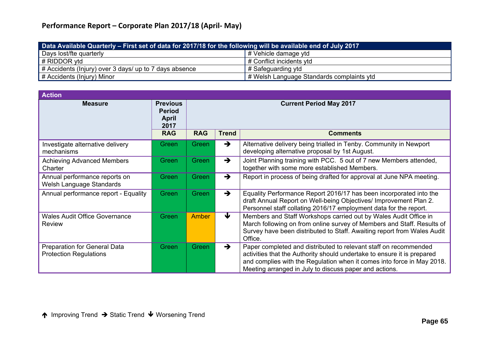| Data Available Quarterly - First set of data for 2017/18 for the following will be available end of July 2017 |                                                   |  |  |  |  |  |
|---------------------------------------------------------------------------------------------------------------|---------------------------------------------------|--|--|--|--|--|
| Days lost/fte quarterly                                                                                       | $\sharp$ # Vehicle damage ytd                     |  |  |  |  |  |
| $\parallel$ # RIDDOR ytd                                                                                      | $\parallel$ # Conflict incidents ytd              |  |  |  |  |  |
| # Accidents (Injury) over 3 days/ up to 7 days absence                                                        | $\vert$ # Safeguarding ytd                        |  |  |  |  |  |
| $\parallel$ # Accidents (Injury) Minor                                                                        | $\vert$ # Welsh Language Standards complaints ytd |  |  |  |  |  |

| <b>Action</b>                                                        |                                                          |                                |               |                                                                                                                                                                                                                                                                                 |  |
|----------------------------------------------------------------------|----------------------------------------------------------|--------------------------------|---------------|---------------------------------------------------------------------------------------------------------------------------------------------------------------------------------------------------------------------------------------------------------------------------------|--|
| <b>Measure</b>                                                       | <b>Previous</b><br><b>Period</b><br><b>April</b><br>2017 | <b>Current Period May 2017</b> |               |                                                                                                                                                                                                                                                                                 |  |
|                                                                      | <b>RAG</b>                                               | <b>RAG</b>                     | <b>Trend</b>  | <b>Comments</b>                                                                                                                                                                                                                                                                 |  |
| Investigate alternative delivery<br>mechanisms                       | Green                                                    | Green                          | $\rightarrow$ | Alternative delivery being trialled in Tenby. Community in Newport<br>developing alternative proposal by 1st August.                                                                                                                                                            |  |
| <b>Achieving Advanced Members</b><br>Charter                         | Green                                                    | Green                          | $\rightarrow$ | Joint Planning training with PCC. 5 out of 7 new Members attended,<br>together with some more established Members.                                                                                                                                                              |  |
| Annual performance reports on<br>Welsh Language Standards            | Green                                                    | Green                          | $\rightarrow$ | Report in process of being drafted for approval at June NPA meeting.                                                                                                                                                                                                            |  |
| Annual performance report - Equality                                 | Green                                                    | Green                          | $\rightarrow$ | Equality Performance Report 2016/17 has been incorporated into the<br>draft Annual Report on Well-being Objectives/ Improvement Plan 2.<br>Personnel staff collating 2016/17 employment data for the report.                                                                    |  |
| <b>Wales Audit Office Governance</b><br><b>Review</b>                | Green                                                    | <b>Amber</b>                   | ₩             | Members and Staff Workshops carried out by Wales Audit Office in<br>March following on from online survey of Members and Staff. Results of<br>Survey have been distributed to Staff. Awaiting report from Wales Audit<br>Office.                                                |  |
| <b>Preparation for General Data</b><br><b>Protection Regulations</b> | Green                                                    | Green                          | $\rightarrow$ | Paper completed and distributed to relevant staff on recommended<br>activities that the Authority should undertake to ensure it is prepared<br>and complies with the Regulation when it comes into force in May 2018.<br>Meeting arranged in July to discuss paper and actions. |  |